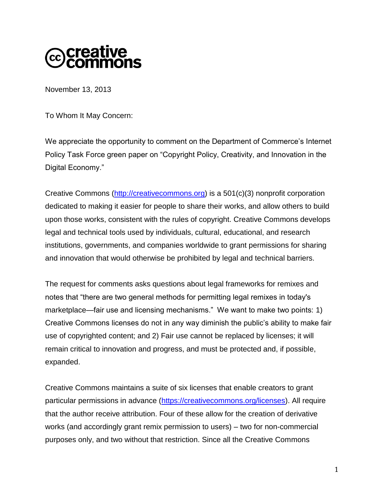

November 13, 2013

To Whom It May Concern:

We appreciate the opportunity to comment on the Department of Commerce's Internet Policy Task Force green paper on "Copyright Policy, Creativity, and Innovation in the Digital Economy."

Creative Commons [\(http://creativecommons.org\)](http://creativecommons.org/) is a 501(c)(3) nonprofit corporation dedicated to making it easier for people to share their works, and allow others to build upon those works, consistent with the rules of copyright. Creative Commons develops legal and technical tools used by individuals, cultural, educational, and research institutions, governments, and companies worldwide to grant permissions for sharing and innovation that would otherwise be prohibited by legal and technical barriers.

The request for comments asks questions about legal frameworks for remixes and notes that "there are two general methods for permitting legal remixes in today's marketplace—fair use and licensing mechanisms." We want to make two points: 1) Creative Commons licenses do not in any way diminish the public's ability to make fair use of copyrighted content; and 2) Fair use cannot be replaced by licenses; it will remain critical to innovation and progress, and must be protected and, if possible, expanded.

Creative Commons maintains a suite of six licenses that enable creators to grant particular permissions in advance [\(https://creativecommons.org/licenses\)](https://creativecommons.org/licenses). All require that the author receive attribution. Four of these allow for the creation of derivative works (and accordingly grant remix permission to users) – two for non-commercial purposes only, and two without that restriction. Since all the Creative Commons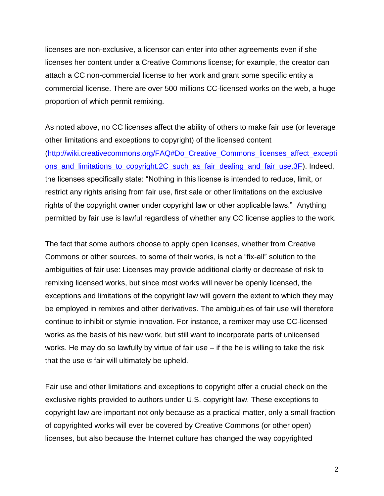licenses are non-exclusive, a licensor can enter into other agreements even if she licenses her content under a Creative Commons license; for example, the creator can attach a CC non-commercial license to her work and grant some specific entity a commercial license. There are over 500 millions CC-licensed works on the web, a huge proportion of which permit remixing.

As noted above, no CC licenses affect the ability of others to make fair use (or leverage other limitations and exceptions to copyright) of the licensed content [\(http://wiki.creativecommons.org/FAQ#Do\\_Creative\\_Commons\\_licenses\\_affect\\_excepti](http://wiki.creativecommons.org/FAQ#Do_Creative_Commons_licenses_affect_exceptions_and_limitations_to_copyright.2C_such_as_fair_dealing_and_fair_use.3F) ons and limitations to copyright.2C such as fair dealing and fair use.3F). Indeed, the licenses specifically state: "Nothing in this license is intended to reduce, limit, or restrict any rights arising from fair use, first sale or other limitations on the exclusive rights of the copyright owner under copyright law or other applicable laws." Anything permitted by fair use is lawful regardless of whether any CC license applies to the work.

The fact that some authors choose to apply open licenses, whether from Creative Commons or other sources, to some of their works, is not a "fix-all" solution to the ambiguities of fair use: Licenses may provide additional clarity or decrease of risk to remixing licensed works, but since most works will never be openly licensed, the exceptions and limitations of the copyright law will govern the extent to which they may be employed in remixes and other derivatives. The ambiguities of fair use will therefore continue to inhibit or stymie innovation. For instance, a remixer may use CC-licensed works as the basis of his new work, but still want to incorporate parts of unlicensed works. He may do so lawfully by virtue of fair use – if the he is willing to take the risk that the use *is* fair will ultimately be upheld.

Fair use and other limitations and exceptions to copyright offer a crucial check on the exclusive rights provided to authors under U.S. copyright law. These exceptions to copyright law are important not only because as a practical matter, only a small fraction of copyrighted works will ever be covered by Creative Commons (or other open) licenses, but also because the Internet culture has changed the way copyrighted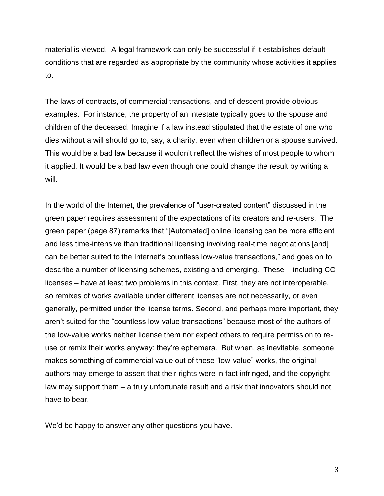material is viewed. A legal framework can only be successful if it establishes default conditions that are regarded as appropriate by the community whose activities it applies to.

The laws of contracts, of commercial transactions, and of descent provide obvious examples. For instance, the property of an intestate typically goes to the spouse and children of the deceased. Imagine if a law instead stipulated that the estate of one who dies without a will should go to, say, a charity, even when children or a spouse survived. This would be a bad law because it wouldn't reflect the wishes of most people to whom it applied. It would be a bad law even though one could change the result by writing a will.

In the world of the Internet, the prevalence of "user-created content" discussed in the green paper requires assessment of the expectations of its creators and re-users. The green paper (page 87) remarks that "[Automated] online licensing can be more efficient and less time-intensive than traditional licensing involving real-time negotiations [and] can be better suited to the Internet's countless low-value transactions," and goes on to describe a number of licensing schemes, existing and emerging. These – including CC licenses – have at least two problems in this context. First, they are not interoperable, so remixes of works available under different licenses are not necessarily, or even generally, permitted under the license terms. Second, and perhaps more important, they aren't suited for the "countless low-value transactions" because most of the authors of the low-value works neither license them nor expect others to require permission to reuse or remix their works anyway: they're ephemera. But when, as inevitable, someone makes something of commercial value out of these "low-value" works, the original authors may emerge to assert that their rights were in fact infringed, and the copyright law may support them – a truly unfortunate result and a risk that innovators should not have to bear.

We'd be happy to answer any other questions you have.